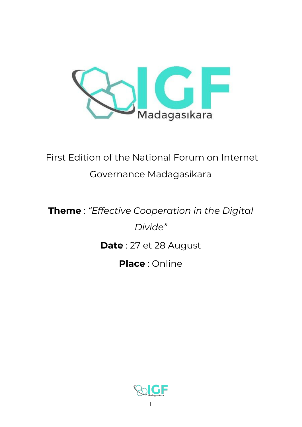

# First Edition of the National Forum on Internet Governance Madagasikara

# **Theme** : *"Effective Cooperation in the Digital Divide"* **Date** : 27 et 28 August **Place** : Online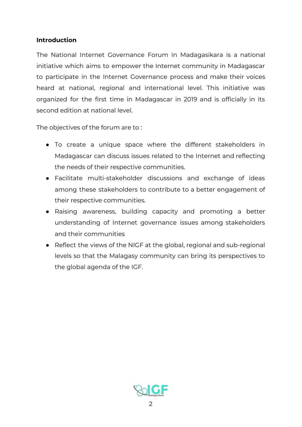# **Introduction**

The National Internet Governance Forum in Madagasikara is a national initiative which aims to empower the Internet community in Madagascar to participate in the Internet Governance process and make their voices heard at national, regional and international level. This initiative was organized for the first time in Madagascar in 2019 and is officially in its second edition at national level.

The objectives of the forum are to :

- To create a unique space where the different stakeholders in Madagascar can discuss issues related to the Internet and reflecting the needs of their respective communities.
- Facilitate multi-stakeholder discussions and exchange of ideas among these stakeholders to contribute to a better engagement of their respective communities.
- Raising awareness, building capacity and promoting a better understanding of Internet governance issues among stakeholders and their communities
- Reflect the views of the NIGF at the global, regional and sub-regional levels so that the Malagasy community can bring its perspectives to the global agenda of the IGF.

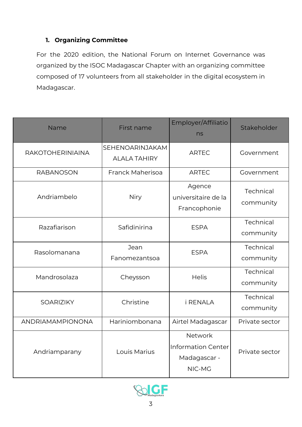# **1. Organizing Committee**

For the 2020 edition, the National Forum on Internet Governance was organized by the ISOC Madagascar Chapter with an organizing committee composed of 17 volunteers from all stakeholder in the digital ecosystem in Madagascar.

| Name                    | First name                             | Employer/Affiliatio<br>ns                                      | Stakeholder            |
|-------------------------|----------------------------------------|----------------------------------------------------------------|------------------------|
| <b>RAKOTOHERINIAINA</b> | SEHENOARINJAKAM<br><b>ALALA TAHIRY</b> | <b>ARTEC</b>                                                   | Government             |
| <b>RABANOSON</b>        | Franck Maherisoa                       | <b>ARTEC</b>                                                   | Government             |
| Andriambelo             | Niry                                   | Agence<br>universitaire de la<br>Francophonie                  | Technical<br>community |
| Razafiarison            | Safidinirina                           | <b>ESPA</b>                                                    | Technical<br>community |
| Rasolomanana            | Jean<br>Fanomezantsoa                  | <b>ESPA</b>                                                    | Technical<br>community |
| Mandrosolaza            | Cheysson                               | <b>Helis</b>                                                   | Technical<br>community |
| <b>SOARIZIKY</b>        | Christine                              | <i>i</i> RENALA                                                | Technical<br>community |
| ANDRIAMAMPIONONA        | Hariniombonana                         | Airtel Madagascar                                              | Private sector         |
| Andriamparany           | Louis Marius                           | <b>Network</b><br>Information Center<br>Madagascar -<br>NIC-MG | Private sector         |

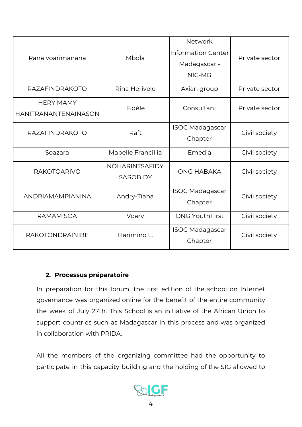| Ranaivoarimanana                                | Mbola                                    | <b>Network</b><br><b>Information Center</b><br>Madagascar -<br>NIC-MG | Private sector |
|-------------------------------------------------|------------------------------------------|-----------------------------------------------------------------------|----------------|
| <b>RAZAFINDRAKOTO</b>                           | Rina Herivelo                            | Axian group                                                           | Private sector |
| <b>HERY MAMY</b><br><b>HANITRANANTENAINASON</b> | Fidèle                                   | Consultant                                                            | Private sector |
| <b>RAZAFINDRAKOTO</b>                           | Raft                                     | <b>ISOC Madagascar</b><br>Chapter                                     | Civil society  |
| Soazara                                         | Mabelle Francillia                       | Emedia                                                                | Civil society  |
| <b>RAKOTOARIVO</b>                              | <b>NOHARINTSAFIDY</b><br><b>SAROBIDY</b> | <b>ONG HABAKA</b>                                                     | Civil society  |
| ANDRIAMAMPIANINA                                | Andry-Tiana                              | <b>ISOC Madagascar</b><br>Chapter                                     | Civil society  |
| <b>RAMAMISOA</b>                                | Voary                                    | <b>ONG YouthFirst</b>                                                 | Civil society  |
| <b>RAKOTONDRAINIBE</b>                          | Harimino L.                              | <b>ISOC Madagascar</b><br>Chapter                                     | Civil society  |

# **2. Processus préparatoire**

In preparation for this forum, the first edition of the school on Internet governance was organized online for the benefit of the entire community the week of July 27th. This School is an initiative of the African Union to support countries such as Madagascar in this process and was organized in collaboration with PRIDA.

All the members of the organizing committee had the opportunity to participate in this capacity building and the holding of the SIG allowed to

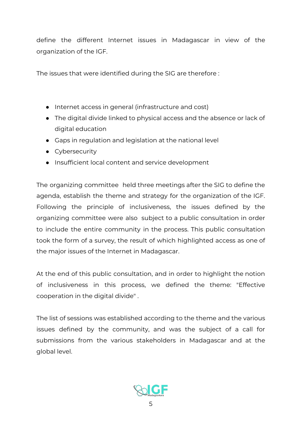define the different Internet issues in Madagascar in view of the organization of the IGF.

The issues that were identified during the SIG are therefore :

- Internet access in general (infrastructure and cost)
- The digital divide linked to physical access and the absence or lack of digital education
- Gaps in regulation and legislation at the national level
- Cybersecurity
- Insufficient local content and service development

The organizing committee held three meetings after the SIG to define the agenda, establish the theme and strategy for the organization of the IGF. Following the principle of inclusiveness, the issues defined by the organizing committee were also subject to a public consultation in order to include the entire community in the process. This public consultation took the form of a survey, the result of which highlighted access as one of the major issues of the Internet in Madagascar.

At the end of this public consultation, and in order to highlight the notion of inclusiveness in this process, we defined the theme: "Effective cooperation in the digital divide" .

The list of sessions was established according to the theme and the various issues defined by the community, and was the subject of a call for submissions from the various stakeholders in Madagascar and at the global level.

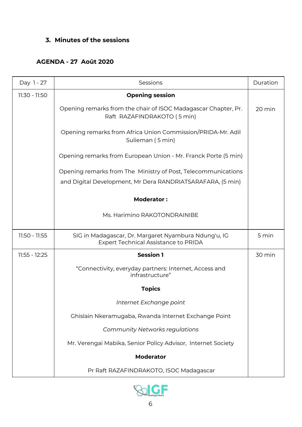# **3. Minutes of the sessions**

# **AGENDA - 27 Août 2020**

| Day 1 - 27    | Sessions                                                                                            | Duration |
|---------------|-----------------------------------------------------------------------------------------------------|----------|
| 11:30 - 11:50 | <b>Opening session</b>                                                                              |          |
|               | Opening remarks from the chair of ISOC Madagascar Chapter, Pr.<br>Raft RAZAFINDRAKOTO (5 min)       | 20 min   |
|               | Opening remarks from Africa Union Commission/PRIDA-Mr. Adil<br>Sulieman (5 min)                     |          |
|               | Opening remarks from European Union - Mr. Franck Porte (5 min)                                      |          |
|               | Opening remarks from The Ministry of Post, Telecommunications                                       |          |
|               | and Digital Development, Mr Dera RANDRIATSARAFARA, (5 min)                                          |          |
|               | <b>Moderator:</b>                                                                                   |          |
|               | Ms. Harimino RAKOTONDRAINIBE                                                                        |          |
| 11:50 - 11:55 | SIG in Madagascar, Dr. Margaret Nyambura Ndung'u, IG<br><b>Expert Technical Assistance to PRIDA</b> | 5 min    |
| 11:55 - 12:25 | <b>Session 1</b>                                                                                    | 30 min   |
|               | "Connectivity, everyday partners: Internet, Access and<br>infrastructure"                           |          |
|               | <b>Topics</b>                                                                                       |          |
|               | Internet Exchange point                                                                             |          |
|               | Ghislain Nkeramugaba, Rwanda Internet Exchange Point                                                |          |
|               | <b>Community Networks regulations</b>                                                               |          |
|               | Mr. Verengai Mabika, Senior Policy Advisor, Internet Society                                        |          |
|               | <b>Moderator</b>                                                                                    |          |
|               | Pr Raft RAZAFINDRAKOTO, ISOC Madagascar                                                             |          |

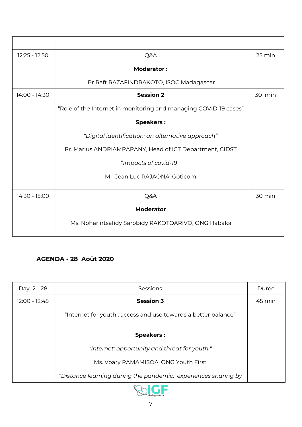| 12:25 - 12:50 | Q&A                                                              | 25 min |
|---------------|------------------------------------------------------------------|--------|
|               | <b>Moderator:</b>                                                |        |
|               | Pr Raft RAZAFINDRAKOTO, ISOC Madagascar                          |        |
| 14:00 - 14:30 | <b>Session 2</b>                                                 | 30 min |
|               | "Role of the Internet in monitoring and managing COVID-19 cases" |        |
|               | <b>Speakers:</b>                                                 |        |
|               | "Digital identification: an alternative approach"                |        |
|               | Pr. Marius ANDRIAMPARANY, Head of ICT Department, CIDST          |        |
|               | "Impacts of covid-19"                                            |        |
|               | Mr. Jean Luc RAJAONA, Goticom                                    |        |
| 14:30 - 15:00 | Q&A                                                              | 30 min |
|               | <b>Moderator</b>                                                 |        |
|               | Ms. Noharintsafidy Sarobidy RAKOTOARIVO, ONG Habaka              |        |

# **AGENDA - 28 Août 2020**

| Day 2 - 28    | Sessions                                                       | Durée  |
|---------------|----------------------------------------------------------------|--------|
| 12:00 - 12:45 | <b>Session 3</b>                                               | 45 min |
|               | "Internet for youth : access and use towards a better balance" |        |
|               | <b>Speakers:</b>                                               |        |
|               | "Internet: opportunity and threat for youth."                  |        |
|               | Ms. Voary RAMAMISOA, ONG Youth First                           |        |
|               | "Distance learning during the pandemic: experiences sharing by |        |
|               |                                                                |        |

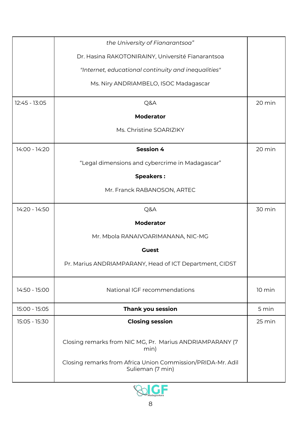|               | the University of Fianarantsoa"                                                 |        |
|---------------|---------------------------------------------------------------------------------|--------|
|               | Dr. Hasina RAKOTONIRAINY, Université Fianarantsoa                               |        |
|               | "Internet, educational continuity and inequalities"                             |        |
|               | Ms. Niry ANDRIAMBELO, ISOC Madagascar                                           |        |
| 12:45 - 13:05 | Q&A                                                                             | 20 min |
|               | <b>Moderator</b>                                                                |        |
|               | Ms. Christine SOARIZIKY                                                         |        |
| 14:00 - 14:20 | <b>Session 4</b>                                                                | 20 min |
|               | "Legal dimensions and cybercrime in Madagascar"                                 |        |
|               | <b>Speakers:</b>                                                                |        |
|               | Mr. Franck RABANOSON, ARTEC                                                     |        |
| 14:20 - 14:50 | Q&A                                                                             | 30 min |
|               | <b>Moderator</b>                                                                |        |
|               | Mr. Mbola RANAIVOARIMANANA, NIC-MG                                              |        |
|               | <b>Guest</b>                                                                    |        |
|               | Pr. Marius ANDRIAMPARANY, Head of ICT Department, CIDST                         |        |
| 14:50 - 15:00 | National IGF recommendations                                                    | 10 min |
| 15:00 - 15:05 | Thank you session                                                               | 5 min  |
| 15:05 - 15:30 | <b>Closing session</b>                                                          | 25 min |
|               | Closing remarks from NIC MG, Pr. Marius ANDRIAMPARANY (7<br>min)                |        |
|               | Closing remarks from Africa Union Commission/PRIDA-Mr. Adil<br>Sulieman (7 min) |        |

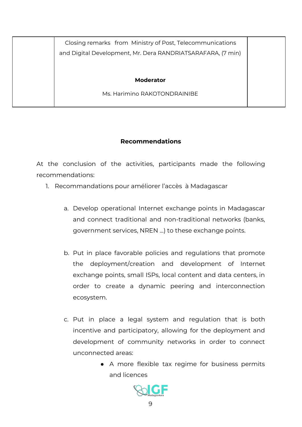| Closing remarks from Ministry of Post, Telecommunications   |  |
|-------------------------------------------------------------|--|
| and Digital Development, Mr. Dera RANDRIATSARAFARA, (7 min) |  |
|                                                             |  |
| <b>Moderator</b>                                            |  |
| Ms. Harimino RAKOTONDRAINIBE                                |  |
|                                                             |  |

#### **Recommendations**

At the conclusion of the activities, participants made the following recommendations:

- 1. Recommandations pour améliorer l'accès à Madagascar
	- a. Develop operational Internet exchange points in Madagascar and connect traditional and non-traditional networks (banks, government services, NREN ...) to these exchange points.
	- b. Put in place favorable policies and regulations that promote the deployment/creation and development of Internet exchange points, small ISPs, local content and data centers, in order to create a dynamic peering and interconnection ecosystem.
	- c. Put in place a legal system and regulation that is both incentive and participatory, allowing for the deployment and development of community networks in order to connect unconnected areas:
		- A more flexible tax regime for business permits and licences

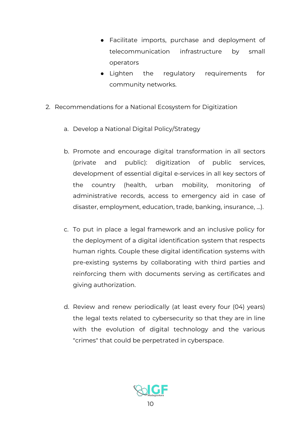- Facilitate imports, purchase and deployment of telecommunication infrastructure by small operators
- Lighten the regulatory requirements for community networks.
- 2. Recommendations for a National Ecosystem for Digitization
	- a. Develop a National Digital Policy/Strategy
	- b. Promote and encourage digital transformation in all sectors (private and public): digitization of public services, development of essential digital e-services in all key sectors of the country (health, urban mobility, monitoring of administrative records, access to emergency aid in case of disaster, employment, education, trade, banking, insurance, ...).
	- c. To put in place a legal framework and an inclusive policy for the deployment of a digital identification system that respects human rights. Couple these digital identification systems with pre-existing systems by collaborating with third parties and reinforcing them with documents serving as certificates and giving authorization.
	- d. Review and renew periodically (at least every four (04) years) the legal texts related to cybersecurity so that they are in line with the evolution of digital technology and the various "crimes" that could be perpetrated in cyberspace.

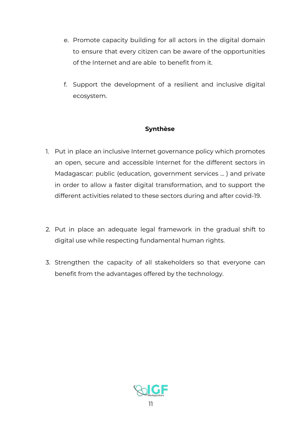- e. Promote capacity building for all actors in the digital domain to ensure that every citizen can be aware of the opportunities of the Internet and are able to benefit from it.
- f. Support the development of a resilient and inclusive digital ecosystem.

# **Synthèse**

- 1. Put in place an inclusive Internet governance policy which promotes an open, secure and accessible Internet for the different sectors in Madagascar: public (education, government services ... ) and private in order to allow a faster digital transformation, and to support the different activities related to these sectors during and after covid-19.
- 2. Put in place an adequate legal framework in the gradual shift to digital use while respecting fundamental human rights.
- 3. Strengthen the capacity of all stakeholders so that everyone can benefit from the advantages offered by the technology.

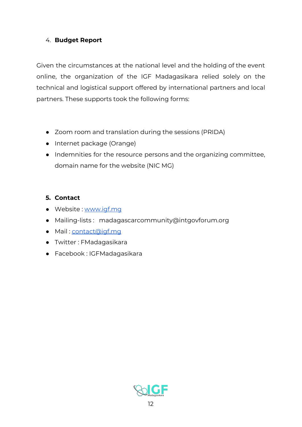# 4. **Budget Report**

Given the circumstances at the national level and the holding of the event online, the organization of the IGF Madagasikara relied solely on the technical and logistical support offered by international partners and local partners. These supports took the following forms:

- Zoom room and translation during the sessions (PRIDA)
- Internet package (Orange)
- Indemnities for the resource persons and the organizing committee, domain name for the website (NIC MG)

# **5. Contact**

- Website : [www.igf.mg](http://www.igf.mg/)
- Mailing-lists : madagascarcommunity@intgovforum.org
- Mail : [contact@igf.mg](mailto:contact@igf.mg)
- Twitter : FMadagasikara
- Facebook : IGFMadagasikara